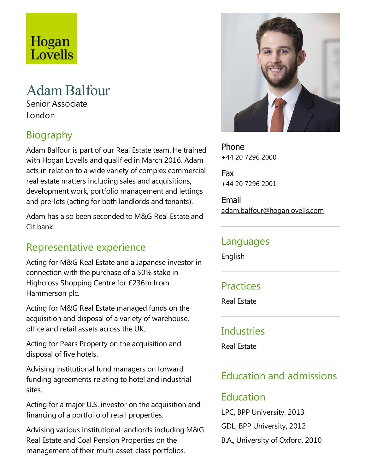# Hogan Lovells

## AdamBalfour

Senior Associate London

### Biography

Adam Balfour is part of our Real Estate team. He trained with Hogan Lovells and qualified in March 2016. Adam acts in relation to a wide variety of complex commercial real estate matters including sales and acquisitions, development work, portfolio management and lettings and pre-lets (acting for both landlords and tenants).

Adam has also been seconded to M&G Real Estate and Citibank.

#### Representative experience

Acting for M&G Real Estate and a Japanese investor in connection with the purchase of a 50% stake in Highcross Shopping Centre for £236m from Hammerson plc.

Acting for M&G Real Estate managed funds on the acquisition and disposal of a variety of warehouse, office and retail assets across the UK.

Acting for Pears Property on the acquisition and disposal of five hotels.

Advising institutional fund managers on forward funding agreements relating to hotel and industrial sites.

Acting for a major U.S. investor on the acquisition and financing of a portfolio of retail properties.

Advising various institutional landlords including M&G Real Estate and Coal Pension Properties on the management of their multi-asset-class portfolios.



Phone +44 20 7296 2000

Fax +44 20 7296 2001

Email adam.balfour@hoganlovells.com

#### Languages

English

#### **Practices**

Real Estate

#### **Industries**

Real Estate

#### Education and admissions

#### Education

LPC, BPP University, 2013

GDL, BPP University, 2012

B.A., University of Oxford, 2010